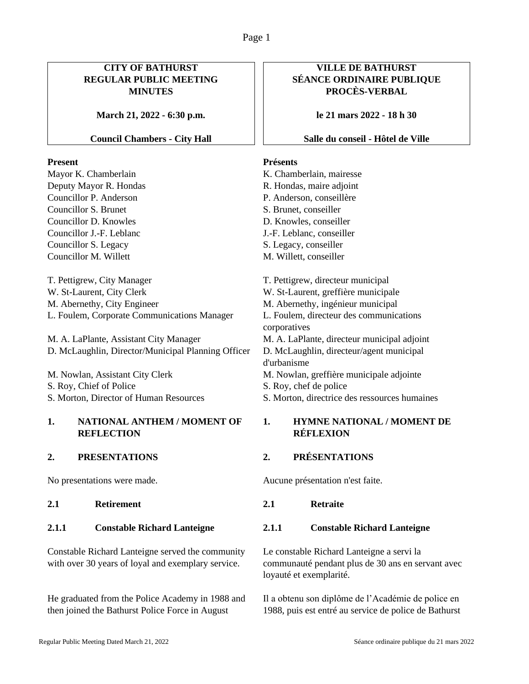# **CITY OF BATHURST REGULAR PUBLIC MEETING MINUTES**

**March 21, 2022 - 6:30 p.m.**

### **Council Chambers - City Hall**

### **Present**

Mayor K. Chamberlain Deputy Mayor R. Hondas Councillor P. Anderson Councillor S. Brunet Councillor D. Knowles Councillor J.-F. Leblanc Councillor S. Legacy Councillor M. Willett

T. Pettigrew, City Manager W. St-Laurent, City Clerk M. Abernethy, City Engineer L. Foulem, Corporate Communications Manager

M. A. LaPlante, Assistant City Manager D. McLaughlin, Director/Municipal Planning Officer

M. Nowlan, Assistant City Clerk S. Roy, Chief of Police S. Morton, Director of Human Resources

## **1. NATIONAL ANTHEM / MOMENT OF REFLECTION**

**2.1 Retirement 2.1 Retraite**

### **2.1.1 Constable Richard Lanteigne 2.1.1 Constable Richard Lanteigne**

Constable Richard Lanteigne served the community with over 30 years of loyal and exemplary service.

He graduated from the Police Academy in 1988 and then joined the Bathurst Police Force in August

# **VILLE DE BATHURST SÉANCE ORDINAIRE PUBLIQUE PROCÈS-VERBAL**

**le 21 mars 2022 - 18 h 30**

### **Salle du conseil - Hôtel de Ville**

### **Présents**

K. Chamberlain, mairesse R. Hondas, maire adjoint P. Anderson, conseillère S. Brunet, conseiller D. Knowles, conseiller J.-F. Leblanc, conseiller S. Legacy, conseiller M. Willett, conseiller T. Pettigrew, directeur municipal W. St-Laurent, greffière municipale M. Abernethy, ingénieur municipal L. Foulem, directeur des communications corporatives M. A. LaPlante, directeur municipal adjoint D. McLaughlin, directeur/agent municipal d'urbanisme M. Nowlan, greffière municipale adjointe S. Roy, chef de police S. Morton, directrice des ressources humaines

## **1. HYMNE NATIONAL / MOMENT DE RÉFLEXION**

### **2. PRESENTATIONS 2. PRÉSENTATIONS**

No presentations were made. Aucune présentation n'est faite.

Le constable Richard Lanteigne a servi la communauté pendant plus de 30 ans en servant avec loyauté et exemplarité.

Il a obtenu son diplôme de l'Académie de police en 1988, puis est entré au service de police de Bathurst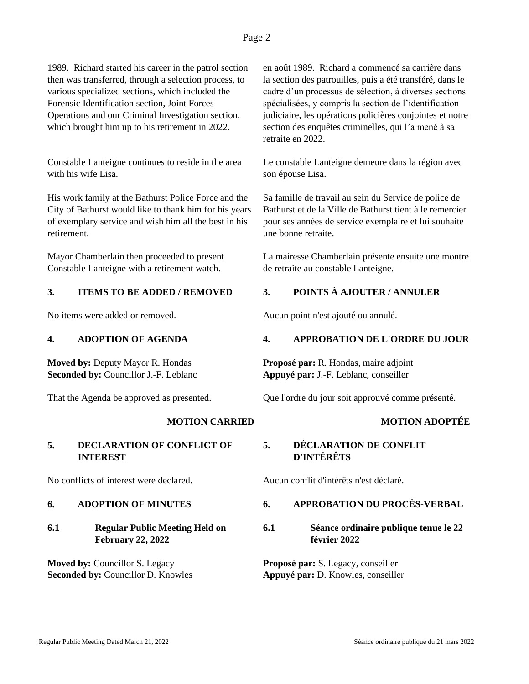# Page 2

1989. Richard started his career in the patrol section then was transferred, through a selection process, to various specialized sections, which included the Forensic Identification section, Joint Forces Operations and our Criminal Investigation section, which brought him up to his retirement in 2022.

Constable Lanteigne continues to reside in the area with his wife Lisa.

His work family at the Bathurst Police Force and the City of Bathurst would like to thank him for his years of exemplary service and wish him all the best in his retirement.

Mayor Chamberlain then proceeded to present Constable Lanteigne with a retirement watch.

## **3. ITEMS TO BE ADDED / REMOVED 3. POINTS À AJOUTER / ANNULER**

**Moved by:** Deputy Mayor R. Hondas **Seconded by:** Councillor J.-F. Leblanc

### **5. DECLARATION OF CONFLICT OF INTEREST**

No conflicts of interest were declared. Aucun conflit d'intérêts n'est déclaré.

## **6.1 Regular Public Meeting Held on February 22, 2022**

**Moved by:** Councillor S. Legacy **Seconded by:** Councillor D. Knowles en août 1989. Richard a commencé sa carrière dans la section des patrouilles, puis a été transféré, dans le cadre d'un processus de sélection, à diverses sections spécialisées, y compris la section de l'identification judiciaire, les opérations policières conjointes et notre section des enquêtes criminelles, qui l'a mené à sa retraite en 2022.

Le constable Lanteigne demeure dans la région avec son épouse Lisa.

Sa famille de travail au sein du Service de police de Bathurst et de la Ville de Bathurst tient à le remercier pour ses années de service exemplaire et lui souhaite une bonne retraite.

La mairesse Chamberlain présente ensuite une montre de retraite au constable Lanteigne.

No items were added or removed. Aucun point n'est ajouté ou annulé.

### **4. ADOPTION OF AGENDA 4. APPROBATION DE L'ORDRE DU JOUR**

**Proposé par:** R. Hondas, maire adjoint **Appuyé par:** J.-F. Leblanc, conseiller

That the Agenda be approved as presented. Que l'ordre du jour soit approuvé comme présenté.

# **MOTION CARRIED MOTION ADOPTÉE**

# **5. DÉCLARATION DE CONFLIT D'INTÉRÊTS**

# **6. ADOPTION OF MINUTES 6. APPROBATION DU PROCÈS-VERBAL**

# **6.1 Séance ordinaire publique tenue le 22 février 2022**

**Proposé par:** S. Legacy, conseiller **Appuyé par:** D. Knowles, conseiller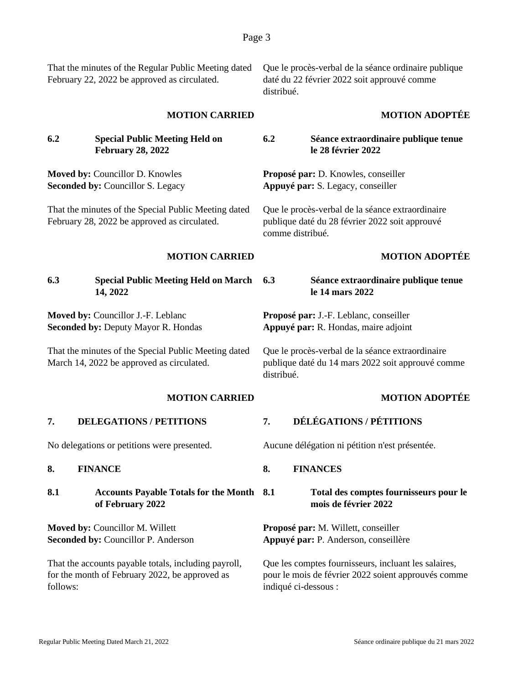That the minutes of the Regular Public Meeting dated February 22, 2022 be approved as circulated.

Que le procès-verbal de la séance ordinaire publique daté du 22 février 2022 soit approuvé comme distribué.

**6.2 Séance extraordinaire publique tenue** 

**le 28 février 2022**

**Proposé par:** D. Knowles, conseiller **Appuyé par:** S. Legacy, conseiller

### **MOTION CARRIED MOTION ADOPTÉE**

**6.2 Special Public Meeting Held on February 28, 2022**

**Moved by:** Councillor D. Knowles **Seconded by:** Councillor S. Legacy

That the minutes of the Special Public Meeting dated February 28, 2022 be approved as circulated.

publique daté du 28 février 2022 soit approuvé comme distribué.

Que le procès-verbal de la séance extraordinaire

# **MOTION CARRIED MOTION ADOPTÉE**

**6.3 Special Public Meeting Held on March 14, 2022**

**Moved by:** Councillor J.-F. Leblanc **Seconded by:** Deputy Mayor R. Hondas

That the minutes of the Special Public Meeting dated March 14, 2022 be approved as circulated.

# **7. DELEGATIONS / PETITIONS 7. DÉLÉGATIONS / PÉTITIONS**

### **8.1 Accounts Payable Totals for the Month of February 2022**

**Moved by:** Councillor M. Willett **Seconded by:** Councillor P. Anderson

That the accounts payable totals, including payroll, for the month of February 2022, be approved as follows:

**6.3 Séance extraordinaire publique tenue le 14 mars 2022**

**Proposé par:** J.-F. Leblanc, conseiller **Appuyé par:** R. Hondas, maire adjoint

Que le procès-verbal de la séance extraordinaire publique daté du 14 mars 2022 soit approuvé comme distribué.

### **MOTION CARRIED MOTION ADOPTÉE**

No delegations or petitions were presented. Aucune délégation ni pétition n'est présentée.

**8. FINANCE 8. FINANCES**

### **8.1 Total des comptes fournisseurs pour le mois de février 2022**

**Proposé par:** M. Willett, conseiller **Appuyé par:** P. Anderson, conseillère

Que les comptes fournisseurs, incluant les salaires, pour le mois de février 2022 soient approuvés comme indiqué ci-dessous :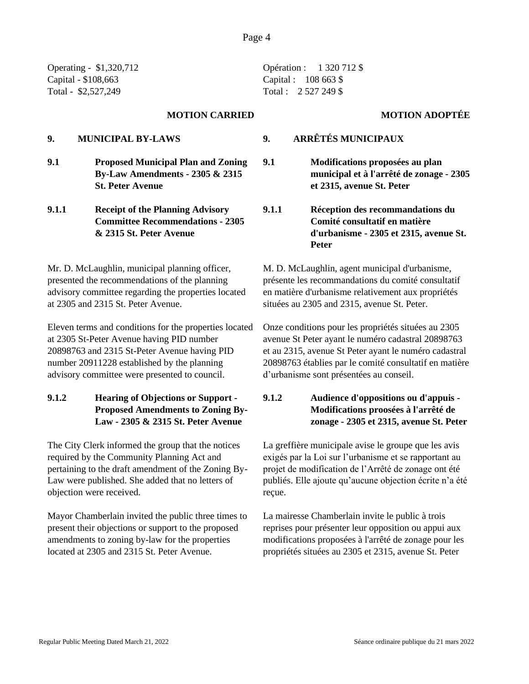Operating - \$1,320,712 Capital - \$108,663 Total - \$2,527,249

**9.1 Proposed Municipal Plan and Zoning By-Law Amendments - 2305 & 2315 St. Peter Avenue**

**9.1.1 Receipt of the Planning Advisory Committee Recommendations - 2305 & 2315 St. Peter Avenue**

Mr. D. McLaughlin, municipal planning officer, presented the recommendations of the planning advisory committee regarding the properties located at 2305 and 2315 St. Peter Avenue.

Eleven terms and conditions for the properties located at 2305 St-Peter Avenue having PID number 20898763 and 2315 St-Peter Avenue having PID number 20911228 established by the planning advisory committee were presented to council.

# **9.1.2 Hearing of Objections or Support - Proposed Amendments to Zoning By-Law - 2305 & 2315 St. Peter Avenue**

The City Clerk informed the group that the notices required by the Community Planning Act and pertaining to the draft amendment of the Zoning By-Law were published. She added that no letters of objection were received.

Mayor Chamberlain invited the public three times to present their objections or support to the proposed amendments to zoning by-law for the properties located at 2305 and 2315 St. Peter Avenue.

Opération : 1 320 712 \$ Capital : 108 663 \$ Total : 2 527 249 \$

### **MOTION CARRIED MOTION ADOPTÉE**

- **9. MUNICIPAL BY-LAWS 9. ARRÊTÉS MUNICIPAUX**
	- **9.1 Modifications proposées au plan municipal et à l'arrêté de zonage - 2305 et 2315, avenue St. Peter**
	- **9.1.1 Réception des recommandations du Comité consultatif en matière d'urbanisme - 2305 et 2315, avenue St. Peter**

M. D. McLaughlin, agent municipal d'urbanisme, présente les recommandations du comité consultatif en matière d'urbanisme relativement aux propriétés situées au 2305 and 2315, avenue St. Peter.

Onze conditions pour les propriétés situées au 2305 avenue St Peter ayant le numéro cadastral 20898763 et au 2315, avenue St Peter ayant le numéro cadastral 20898763 établies par le comité consultatif en matière d'urbanisme sont présentées au conseil.

# **9.1.2 Audience d'oppositions ou d'appuis - Modifications proosées à l'arrêté de zonage - 2305 et 2315, avenue St. Peter**

La greffière municipale avise le groupe que les avis exigés par la Loi sur l'urbanisme et se rapportant au projet de modification de l'Arrêté de zonage ont été publiés. Elle ajoute qu'aucune objection écrite n'a été reçue.

La mairesse Chamberlain invite le public à trois reprises pour présenter leur opposition ou appui aux modifications proposées à l'arrêté de zonage pour les propriétés situées au 2305 et 2315, avenue St. Peter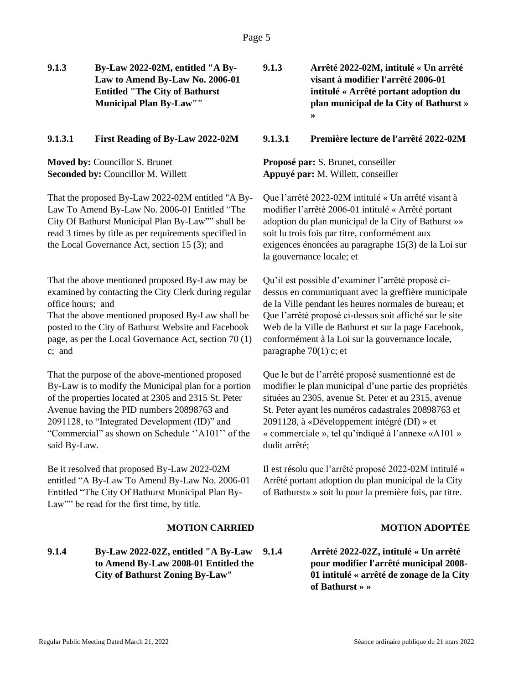**9.1.3 By-Law 2022-02M, entitled "A By-Law to Amend By-Law No. 2006-01 Entitled "The City of Bathurst Municipal Plan By-Law""**

**Moved by:** Councillor S. Brunet **Seconded by:** Councillor M. Willett

That the proposed By-Law 2022-02M entitled "A By-Law To Amend By-Law No. 2006-01 Entitled "The City Of Bathurst Municipal Plan By-Law"" shall be read 3 times by title as per requirements specified in the Local Governance Act, section 15 (3); and

That the above mentioned proposed By-Law may be examined by contacting the City Clerk during regular office hours; and

That the above mentioned proposed By-Law shall be posted to the City of Bathurst Website and Facebook page, as per the Local Governance Act, section 70 (1) c; and

That the purpose of the above-mentioned proposed By-Law is to modify the Municipal plan for a portion of the properties located at 2305 and 2315 St. Peter Avenue having the PID numbers 20898763 and 2091128, to "Integrated Development (ID)" and "Commercial" as shown on Schedule ''A101'' of the said By-Law.

Be it resolved that proposed By-Law 2022-02M entitled "A By-Law To Amend By-Law No. 2006-01 Entitled "The City Of Bathurst Municipal Plan By-Law"" be read for the first time, by title.

# **9.1.4 By-Law 2022-02Z, entitled "A By-Law to Amend By-Law 2008-01 Entitled the City of Bathurst Zoning By-Law"**

**9.1.3 Arrêté 2022-02M, intitulé « Un arrêté visant à modifier l'arrêté 2006-01 intitulé « Arrêté portant adoption du plan municipal de la City of Bathurst » »**

### **9.1.3.1 First Reading of By-Law 2022-02M 9.1.3.1 Première lecture de l'arrêté 2022-02M**

**Proposé par:** S. Brunet, conseiller **Appuyé par:** M. Willett, conseiller

Que l'arrêté 2022-02M intitulé « Un arrêté visant à modifier l'arrêté 2006-01 intitulé « Arrêté portant adoption du plan municipal de la City of Bathurst »» soit lu trois fois par titre, conformément aux exigences énoncées au paragraphe 15(3) de la Loi sur la gouvernance locale; et

Qu'il est possible d'examiner l'arrêté proposé cidessus en communiquant avec la greffière municipale de la Ville pendant les heures normales de bureau; et Que l'arrêté proposé ci-dessus soit affiché sur le site Web de la Ville de Bathurst et sur la page Facebook, conformément à la Loi sur la gouvernance locale, paragraphe 70(1) c; et

Que le but de l'arrêté proposé susmentionné est de modifier le plan municipal d'une partie des propriétés situées au 2305, avenue St. Peter et au 2315, avenue St. Peter ayant les numéros cadastrales 20898763 et 2091128, à «Développement intégré (DI) » et « commerciale », tel qu'indiqué à l'annexe «A101 » dudit arrêté;

Il est résolu que l'arrêté proposé 2022-02M intitulé « Arrêté portant adoption du plan municipal de la City of Bathurst» » soit lu pour la première fois, par titre.

# **MOTION CARRIED MOTION ADOPTÉE**

**9.1.4 Arrêté 2022-02Z, intitulé « Un arrêté pour modifier l'arrêté municipal 2008- 01 intitulé « arrêté de zonage de la City of Bathurst » »**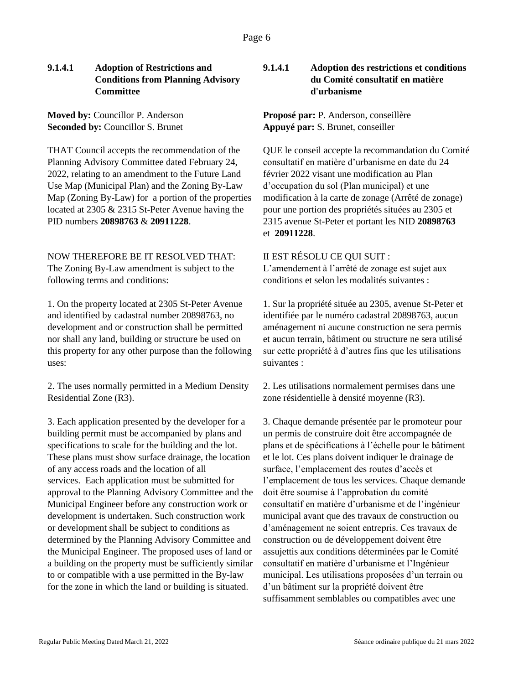# **9.1.4.1 Adoption of Restrictions and Conditions from Planning Advisory Committee**

**Moved by:** Councillor P. Anderson **Seconded by:** Councillor S. Brunet

THAT Council accepts the recommendation of the Planning Advisory Committee dated February 24, 2022, relating to an amendment to the Future Land Use Map (Municipal Plan) and the Zoning By-Law Map (Zoning By-Law) for a portion of the properties located at 2305 & 2315 St-Peter Avenue having the PID numbers **20898763** & **20911228**.

NOW THEREFORE BE IT RESOLVED THAT: The Zoning By-Law amendment is subject to the following terms and conditions:

1. On the property located at 2305 St-Peter Avenue and identified by cadastral number 20898763, no development and or construction shall be permitted nor shall any land, building or structure be used on this property for any other purpose than the following uses:

2. The uses normally permitted in a Medium Density Residential Zone (R3).

3. Each application presented by the developer for a building permit must be accompanied by plans and specifications to scale for the building and the lot. These plans must show surface drainage, the location of any access roads and the location of all services. Each application must be submitted for approval to the Planning Advisory Committee and the Municipal Engineer before any construction work or development is undertaken. Such construction work or development shall be subject to conditions as determined by the Planning Advisory Committee and the Municipal Engineer. The proposed uses of land or a building on the property must be sufficiently similar to or compatible with a use permitted in the By-law for the zone in which the land or building is situated.

# **9.1.4.1 Adoption des restrictions et conditions du Comité consultatif en matière d'urbanisme**

# **Proposé par:** P. Anderson, conseillère **Appuyé par:** S. Brunet, conseiller

QUE le conseil accepte la recommandation du Comité consultatif en matière d'urbanisme en date du 24 février 2022 visant une modification au Plan d'occupation du sol (Plan municipal) et une modification à la carte de zonage (Arrêté de zonage) pour une portion des propriétés situées au 2305 et 2315 avenue St-Peter et portant les NID **20898763** et **20911228**.

## II EST RÉSOLU CE QUI SUIT :

L'amendement à l'arrêté de zonage est sujet aux conditions et selon les modalités suivantes :

1. Sur la propriété située au 2305, avenue St-Peter et identifiée par le numéro cadastral 20898763, aucun aménagement ni aucune construction ne sera permis et aucun terrain, bâtiment ou structure ne sera utilisé sur cette propriété à d'autres fins que les utilisations suivantes :

2. Les utilisations normalement permises dans une zone résidentielle à densité moyenne (R3).

3. Chaque demande présentée par le promoteur pour un permis de construire doit être accompagnée de plans et de spécifications à l'échelle pour le bâtiment et le lot. Ces plans doivent indiquer le drainage de surface, l'emplacement des routes d'accès et l'emplacement de tous les services. Chaque demande doit être soumise à l'approbation du comité consultatif en matière d'urbanisme et de l'ingénieur municipal avant que des travaux de construction ou d'aménagement ne soient entrepris. Ces travaux de construction ou de développement doivent être assujettis aux conditions déterminées par le Comité consultatif en matière d'urbanisme et l'Ingénieur municipal. Les utilisations proposées d'un terrain ou d'un bâtiment sur la propriété doivent être suffisamment semblables ou compatibles avec une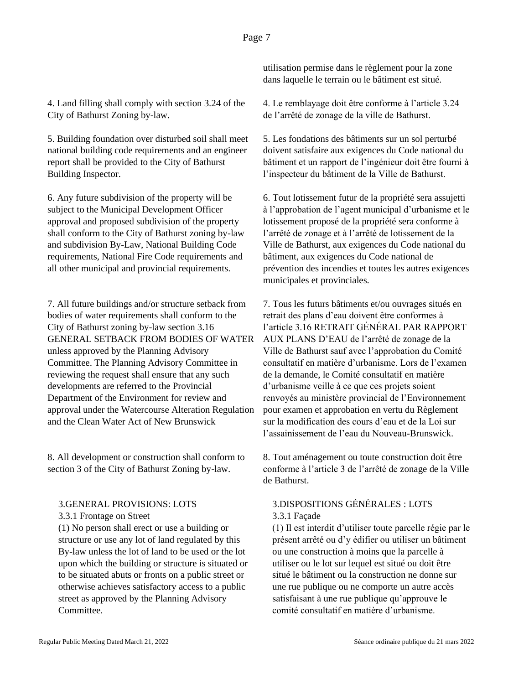4. Land filling shall comply with section 3.24 of the City of Bathurst Zoning by-law.

5. Building foundation over disturbed soil shall meet national building code requirements and an engineer report shall be provided to the City of Bathurst Building Inspector.

6. Any future subdivision of the property will be subject to the Municipal Development Officer approval and proposed subdivision of the property shall conform to the City of Bathurst zoning by-law and subdivision By-Law, National Building Code requirements, National Fire Code requirements and all other municipal and provincial requirements.

7. All future buildings and/or structure setback from bodies of water requirements shall conform to the City of Bathurst zoning by-law section 3.16 GENERAL SETBACK FROM BODIES OF WATER unless approved by the Planning Advisory Committee. The Planning Advisory Committee in reviewing the request shall ensure that any such developments are referred to the Provincial Department of the Environment for review and approval under the Watercourse Alteration Regulation and the Clean Water Act of New Brunswick

8. All development or construction shall conform to section 3 of the City of Bathurst Zoning by-law.

### 3.GENERAL PROVISIONS: LOTS

### 3.3.1 Frontage on Street

(1) No person shall erect or use a building or structure or use any lot of land regulated by this By-law unless the lot of land to be used or the lot upon which the building or structure is situated or to be situated abuts or fronts on a public street or otherwise achieves satisfactory access to a public street as approved by the Planning Advisory Committee.

utilisation permise dans le règlement pour la zone dans laquelle le terrain ou le bâtiment est situé.

4. Le remblayage doit être conforme à l'article 3.24 de l'arrêté de zonage de la ville de Bathurst.

5. Les fondations des bâtiments sur un sol perturbé doivent satisfaire aux exigences du Code national du bâtiment et un rapport de l'ingénieur doit être fourni à l'inspecteur du bâtiment de la Ville de Bathurst.

6. Tout lotissement futur de la propriété sera assujetti à l'approbation de l'agent municipal d'urbanisme et le lotissement proposé de la propriété sera conforme à l'arrêté de zonage et à l'arrêté de lotissement de la Ville de Bathurst, aux exigences du Code national du bâtiment, aux exigences du Code national de prévention des incendies et toutes les autres exigences municipales et provinciales.

7. Tous les futurs bâtiments et/ou ouvrages situés en retrait des plans d'eau doivent être conformes à l'article 3.16 RETRAIT GÉNÉRAL PAR RAPPORT AUX PLANS D'EAU de l'arrêté de zonage de la Ville de Bathurst sauf avec l'approbation du Comité consultatif en matière d'urbanisme. Lors de l'examen de la demande, le Comité consultatif en matière d'urbanisme veille à ce que ces projets soient renvoyés au ministère provincial de l'Environnement pour examen et approbation en vertu du Règlement sur la modification des cours d'eau et de la Loi sur l'assainissement de l'eau du Nouveau-Brunswick.

8. Tout aménagement ou toute construction doit être conforme à l'article 3 de l'arrêté de zonage de la Ville de Bathurst.

# 3.DISPOSITIONS GÉNÉRALES : LOTS 3.3.1 Façade

(1) Il est interdit d'utiliser toute parcelle régie par le présent arrêté ou d'y édifier ou utiliser un bâtiment ou une construction à moins que la parcelle à utiliser ou le lot sur lequel est situé ou doit être situé le bâtiment ou la construction ne donne sur une rue publique ou ne comporte un autre accès satisfaisant à une rue publique qu'approuve le comité consultatif en matière d'urbanisme.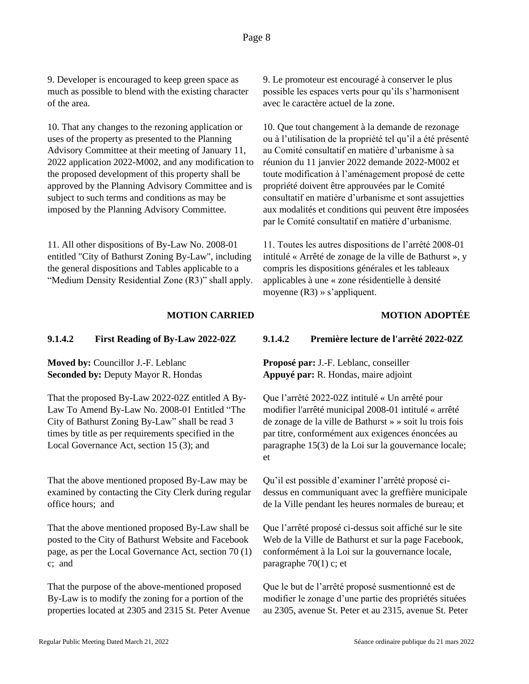9. Developer is encouraged to keep green space as much as possible to blend with the existing character of the area.

10. That any changes to the rezoning application or uses of the property as presented to the Planning Advisory Committee at their meeting of January 11, 2022 application 2022-M002, and any modification to the proposed development of this property shall be approved by the Planning Advisory Committee and is subject to such terms and conditions as may be imposed by the Planning Advisory Committee.

11. All other dispositions of By-Law No. 2008-01 entitled "City of Bathurst Zoning By-Law", including the general dispositions and Tables applicable to a "Medium Density Residential Zone (R3)" shall apply. 9. Le promoteur est encouragé à conserver le plus possible les espaces verts pour qu'ils s'harmonisent avec le caractère actuel de la zone.

10. Que tout changement à la demande de rezonage ou à l'utilisation de la propriété tel qu'il a été présenté au Comité consultatif en matière d'urbanisme à sa réunion du 11 janvier 2022 demande 2022-M002 et toute modification à l'aménagement proposé de cette propriété doivent être approuvées par le Comité consultatif en matière d'urbanisme et sont assujetties aux modalités et conditions qui peuvent être imposées par le Comité consultatif en matière d'urbanisme.

11. Toutes les autres dispositions de l'arrêté 2008-01 intitulé « Arrêté de zonage de la ville de Bathurst », y compris les dispositions générales et les tableaux applicables à une « zone résidentielle à densité moyenne (R3) » s'appliquent.

# **MOTION CARRIED MOTION ADOPTÉE**

### **9.1.4.2 First Reading of By-Law 2022-02Z 9.1.4.2 Première lecture de l'arrêté 2022-02Z**

**Moved by:** Councillor J.-F. Leblanc **Seconded by:** Deputy Mayor R. Hondas

That the proposed By-Law 2022-02Z entitled A By-Law To Amend By-Law No. 2008-01 Entitled "The City of Bathurst Zoning By-Law" shall be read 3 times by title as per requirements specified in the Local Governance Act, section 15 (3); and

That the above mentioned proposed By-Law may be examined by contacting the City Clerk during regular office hours; and

That the above mentioned proposed By-Law shall be posted to the City of Bathurst Website and Facebook page, as per the Local Governance Act, section 70 (1) c; and

That the purpose of the above-mentioned proposed By-Law is to modify the zoning for a portion of the properties located at 2305 and 2315 St. Peter Avenue

**Proposé par:** J.-F. Leblanc, conseiller **Appuyé par:** R. Hondas, maire adjoint

Que l'arrêté 2022-02Z intitulé « Un arrêté pour modifier l'arrêté municipal 2008-01 intitulé « arrêté de zonage de la ville de Bathurst » » soit lu trois fois par titre, conformément aux exigences énoncées au paragraphe 15(3) de la Loi sur la gouvernance locale; et

Qu'il est possible d'examiner l'arrêté proposé cidessus en communiquant avec la greffière municipale de la Ville pendant les heures normales de bureau; et

Que l'arrêté proposé ci-dessus soit affiché sur le site Web de la Ville de Bathurst et sur la page Facebook, conformément à la Loi sur la gouvernance locale, paragraphe 70(1) c; et

Que le but de l'arrêté proposé susmentionné est de modifier le zonage d'une partie des propriétés situées au 2305, avenue St. Peter et au 2315, avenue St. Peter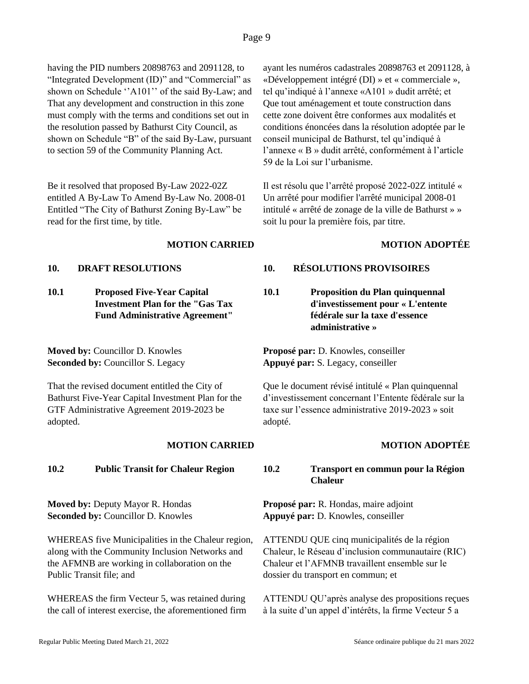having the PID numbers 20898763 and 2091128, to "Integrated Development (ID)" and "Commercial" as shown on Schedule ''A101'' of the said By-Law; and That any development and construction in this zone must comply with the terms and conditions set out in the resolution passed by Bathurst City Council, as shown on Schedule "B" of the said By-Law, pursuant to section 59 of the Community Planning Act.

Be it resolved that proposed By-Law 2022-02Z entitled A By-Law To Amend By-Law No. 2008-01 Entitled "The City of Bathurst Zoning By-Law" be read for the first time, by title.

**10.1 Proposed Five-Year Capital Investment Plan for the "Gas Tax Fund Administrative Agreement"**

**Moved by:** Councillor D. Knowles **Seconded by:** Councillor S. Legacy

That the revised document entitled the City of Bathurst Five-Year Capital Investment Plan for the GTF Administrative Agreement 2019-2023 be adopted.

**Moved by:** Deputy Mayor R. Hondas **Seconded by:** Councillor D. Knowles

WHEREAS five Municipalities in the Chaleur region, along with the Community Inclusion Networks and the AFMNB are working in collaboration on the Public Transit file; and

WHEREAS the firm Vecteur 5, was retained during the call of interest exercise, the aforementioned firm ayant les numéros cadastrales 20898763 et 2091128, à «Développement intégré (DI) » et « commerciale », tel qu'indiqué à l'annexe «A101 » dudit arrêté; et Que tout aménagement et toute construction dans cette zone doivent être conformes aux modalités et conditions énoncées dans la résolution adoptée par le conseil municipal de Bathurst, tel qu'indiqué à l'annexe « B » dudit arrêté, conformément à l'article 59 de la Loi sur l'urbanisme.

Il est résolu que l'arrêté proposé 2022-02Z intitulé « Un arrêté pour modifier l'arrêté municipal 2008-01 intitulé « arrêté de zonage de la ville de Bathurst » » soit lu pour la première fois, par titre.

## **MOTION CARRIED MOTION ADOPTÉE**

# **10. DRAFT RESOLUTIONS 10. RÉSOLUTIONS PROVISOIRES**

**10.1 Proposition du Plan quinquennal d'investissement pour « L'entente fédérale sur la taxe d'essence administrative »**

**Proposé par:** D. Knowles, conseiller **Appuyé par:** S. Legacy, conseiller

Que le document révisé intitulé « Plan quinquennal d'investissement concernant l'Entente fédérale sur la taxe sur l'essence administrative 2019-2023 » soit adopté.

# **MOTION CARRIED MOTION ADOPTÉE**

# **10.2 Public Transit for Chaleur Region 10.2 Transport en commun pour la Région Chaleur**

**Proposé par:** R. Hondas, maire adjoint **Appuyé par:** D. Knowles, conseiller

ATTENDU QUE cinq municipalités de la région Chaleur, le Réseau d'inclusion communautaire (RIC) Chaleur et l'AFMNB travaillent ensemble sur le dossier du transport en commun; et

ATTENDU QU'après analyse des propositions reçues à la suite d'un appel d'intérêts, la firme Vecteur 5 a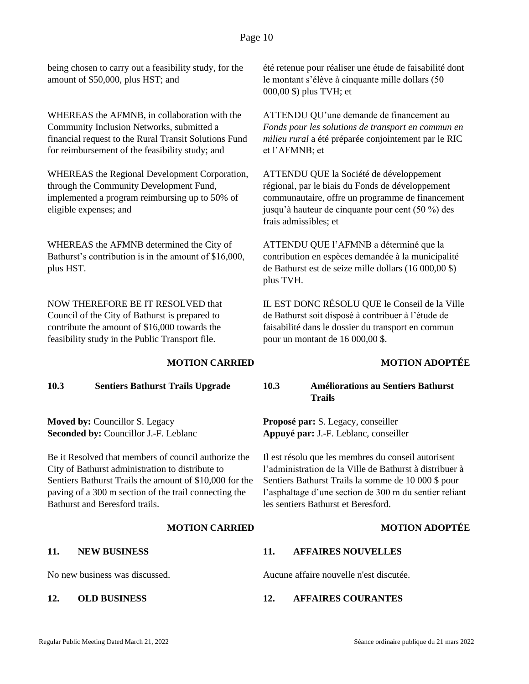being chosen to carry out a feasibility study, for the amount of \$50,000, plus HST; and

WHEREAS the AFMNB, in collaboration with the Community Inclusion Networks, submitted a financial request to the Rural Transit Solutions Fund for reimbursement of the feasibility study; and

WHEREAS the Regional Development Corporation, through the Community Development Fund, implemented a program reimbursing up to 50% of eligible expenses; and

WHEREAS the AFMNB determined the City of Bathurst's contribution is in the amount of \$16,000, plus HST.

NOW THEREFORE BE IT RESOLVED that Council of the City of Bathurst is prepared to contribute the amount of \$16,000 towards the feasibility study in the Public Transport file.

**Moved by:** Councillor S. Legacy **Seconded by:** Councillor J.-F. Leblanc

Be it Resolved that members of council authorize the City of Bathurst administration to distribute to Sentiers Bathurst Trails the amount of \$10,000 for the paving of a 300 m section of the trail connecting the Bathurst and Beresford trails.

été retenue pour réaliser une étude de faisabilité dont le montant s'élève à cinquante mille dollars (50 000,00 \$) plus TVH; et

ATTENDU QU'une demande de financement au *Fonds pour les solutions de transport en commun en milieu rural* a été préparée conjointement par le RIC et l'AFMNB; et

ATTENDU QUE la Société de développement régional, par le biais du Fonds de développement communautaire, offre un programme de financement jusqu'à hauteur de cinquante pour cent (50 %) des frais admissibles; et

ATTENDU QUE l'AFMNB a déterminé que la contribution en espèces demandée à la municipalité de Bathurst est de seize mille dollars (16 000,00 \$) plus TVH.

IL EST DONC RÉSOLU QUE le Conseil de la Ville de Bathurst soit disposé à contribuer à l'étude de faisabilité dans le dossier du transport en commun pour un montant de 16 000,00 \$.

# **MOTION CARRIED MOTION ADOPTÉE**

**10.3 Sentiers Bathurst Trails Upgrade 10.3 Améliorations au Sentiers Bathurst Trails**

> **Proposé par:** S. Legacy, conseiller **Appuyé par:** J.-F. Leblanc, conseiller

Il est résolu que les membres du conseil autorisent l'administration de la Ville de Bathurst à distribuer à Sentiers Bathurst Trails la somme de 10 000 \$ pour l'asphaltage d'une section de 300 m du sentier reliant les sentiers Bathurst et Beresford.

### **MOTION CARRIED MOTION ADOPTÉE**

### **11. NEW BUSINESS 11. AFFAIRES NOUVELLES**

No new business was discussed. Aucune affaire nouvelle n'est discutée.

### **12. OLD BUSINESS 12. AFFAIRES COURANTES**